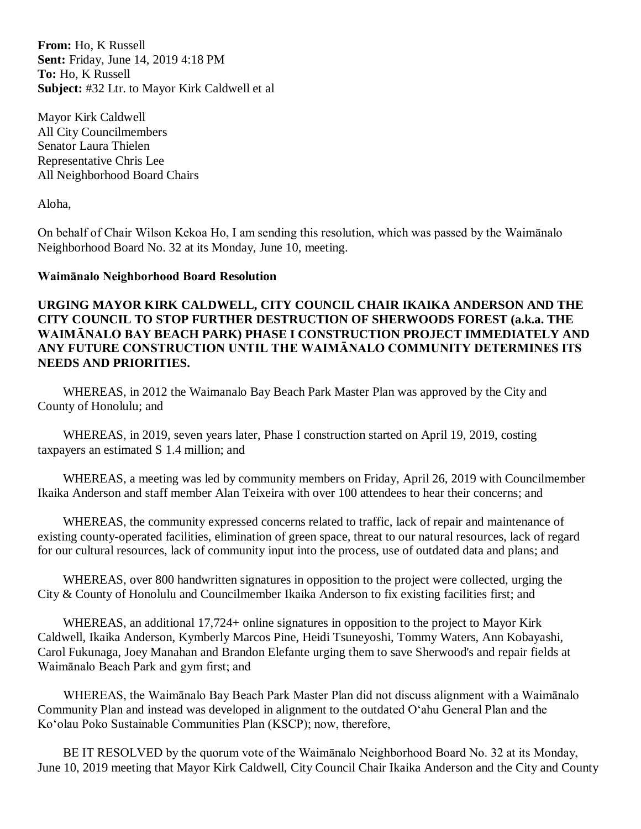**From:** Ho, K Russell **Sent:** Friday, June 14, 2019 4:18 PM **To:** Ho, K Russell **Subject:** #32 Ltr. to Mayor Kirk Caldwell et al

Mayor Kirk Caldwell All City Councilmembers Senator Laura Thielen Representative Chris Lee All Neighborhood Board Chairs

Aloha,

On behalf of Chair Wilson Kekoa Ho, I am sending this resolution, which was passed by the Waimānalo Neighborhood Board No. 32 at its Monday, June 10, meeting.

## **Waimānalo Neighborhood Board Resolution**

## **URGING MAYOR KIRK CALDWELL, CITY COUNCIL CHAIR IKAIKA ANDERSON AND THE CITY COUNCIL TO STOP FURTHER DESTRUCTION OF SHERWOODS FOREST (a.k.a. THE WAIMĀNALO BAY BEACH PARK) PHASE I CONSTRUCTION PROJECT IMMEDIATELY AND ANY FUTURE CONSTRUCTION UNTIL THE WAIMĀNALO COMMUNITY DETERMINES ITS NEEDS AND PRIORITIES.**

 WHEREAS, in 2012 the Waimanalo Bay Beach Park Master Plan was approved by the City and County of Honolulu; and

 WHEREAS, in 2019, seven years later, Phase I construction started on April 19, 2019, costing taxpayers an estimated S 1.4 million; and

 WHEREAS, a meeting was led by community members on Friday, April 26, 2019 with Councilmember Ikaika Anderson and staff member Alan Teixeira with over 100 attendees to hear their concerns; and

 WHEREAS, the community expressed concerns related to traffic, lack of repair and maintenance of existing county-operated facilities, elimination of green space, threat to our natural resources, lack of regard for our cultural resources, lack of community input into the process, use of outdated data and plans; and

 WHEREAS, over 800 handwritten signatures in opposition to the project were collected, urging the City & County of Honolulu and Councilmember Ikaika Anderson to fix existing facilities first; and

WHEREAS, an additional 17,724+ online signatures in opposition to the project to Mayor Kirk Caldwell, Ikaika Anderson, Kymberly Marcos Pine, Heidi Tsuneyoshi, Tommy Waters, Ann Kobayashi, Carol Fukunaga, Joey Manahan and Brandon Elefante urging them to save Sherwood's and repair fields at Waimānalo Beach Park and gym first; and

 WHEREAS, the Waimānalo Bay Beach Park Master Plan did not discuss alignment with a Waimānalo Community Plan and instead was developed in alignment to the outdated O'ahu General Plan and the Koʻolau Poko Sustainable Communities Plan (KSCP); now, therefore,

 BE IT RESOLVED by the quorum vote of the Waimānalo Neighborhood Board No. 32 at its Monday, June 10, 2019 meeting that Mayor Kirk Caldwell, City Council Chair Ikaika Anderson and the City and County